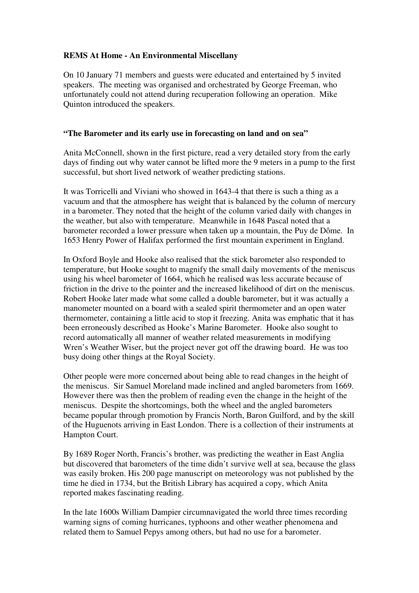# **REMS At Home - An Environmental Miscellany**

On 10 January 71 members and guests were educated and entertained by 5 invited speakers. The meeting was organised and orchestrated by George Freeman, who unfortunately could not attend during recuperation following an operation. Mike Quinton introduced the speakers.

### **"The Barometer and its early use in forecasting on land and on sea"**

Anita McConnell, shown in the first picture, read a very detailed story from the early days of finding out why water cannot be lifted more the 9 meters in a pump to the first successful, but short lived network of weather predicting stations.

It was Torricelli and Viviani who showed in 1643-4 that there is such a thing as a vacuum and that the atmosphere has weight that is balanced by the column of mercury in a barometer. They noted that the height of the column varied daily with changes in the weather, but also with temperature. Meanwhile in 1648 Pascal noted that a barometer recorded a lower pressure when taken up a mountain, the Puy de Dôme. In 1653 Henry Power of Halifax performed the first mountain experiment in England.

In Oxford Boyle and Hooke also realised that the stick barometer also responded to temperature, but Hooke sought to magnify the small daily movements of the meniscus using his wheel barometer of 1664, which he realised was less accurate because of friction in the drive to the pointer and the increased likelihood of dirt on the meniscus. Robert Hooke later made what some called a double barometer, but it was actually a manometer mounted on a board with a sealed spirit thermometer and an open water thermometer, containing a little acid to stop it freezing. Anita was emphatic that it has been erroneously described as Hooke's Marine Barometer. Hooke also sought to record automatically all manner of weather related measurements in modifying Wren's Weather Wiser, but the project never got off the drawing board. He was too busy doing other things at the Royal Society.

Other people were more concerned about being able to read changes in the height of the meniscus. Sir Samuel Moreland made inclined and angled barometers from 1669. However there was then the problem of reading even the change in the height of the meniscus. Despite the shortcomings, both the wheel and the angled barometers became popular through promotion by Francis North, Baron Guilford, and by the skill of the Huguenots arriving in East London. There is a collection of their instruments at Hampton Court.

By 1689 Roger North, Francis's brother, was predicting the weather in East Anglia but discovered that barometers of the time didn't survive well at sea, because the glass was easily broken. His 200 page manuscript on meteorology was not published by the time he died in 1734, but the British Library has acquired a copy, which Anita reported makes fascinating reading.

In the late 1600s William Dampier circumnavigated the world three times recording warning signs of coming hurricanes, typhoons and other weather phenomena and related them to Samuel Pepys among others, but had no use for a barometer.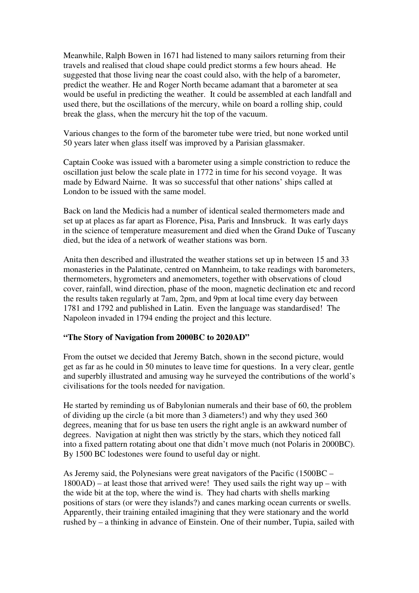Meanwhile, Ralph Bowen in 1671 had listened to many sailors returning from their travels and realised that cloud shape could predict storms a few hours ahead. He suggested that those living near the coast could also, with the help of a barometer, predict the weather. He and Roger North became adamant that a barometer at sea would be useful in predicting the weather. It could be assembled at each landfall and used there, but the oscillations of the mercury, while on board a rolling ship, could break the glass, when the mercury hit the top of the vacuum.

Various changes to the form of the barometer tube were tried, but none worked until 50 years later when glass itself was improved by a Parisian glassmaker.

Captain Cooke was issued with a barometer using a simple constriction to reduce the oscillation just below the scale plate in 1772 in time for his second voyage. It was made by Edward Nairne. It was so successful that other nations' ships called at London to be issued with the same model.

Back on land the Medicis had a number of identical sealed thermometers made and set up at places as far apart as Florence, Pisa, Paris and Innsbruck. It was early days in the science of temperature measurement and died when the Grand Duke of Tuscany died, but the idea of a network of weather stations was born.

Anita then described and illustrated the weather stations set up in between 15 and 33 monasteries in the Palatinate, centred on Mannheim, to take readings with barometers, thermometers, hygrometers and anemometers, together with observations of cloud cover, rainfall, wind direction, phase of the moon, magnetic declination etc and record the results taken regularly at 7am, 2pm, and 9pm at local time every day between 1781 and 1792 and published in Latin. Even the language was standardised! The Napoleon invaded in 1794 ending the project and this lecture.

### **"The Story of Navigation from 2000BC to 2020AD"**

From the outset we decided that Jeremy Batch, shown in the second picture, would get as far as he could in 50 minutes to leave time for questions. In a very clear, gentle and superbly illustrated and amusing way he surveyed the contributions of the world's civilisations for the tools needed for navigation.

He started by reminding us of Babylonian numerals and their base of 60, the problem of dividing up the circle (a bit more than 3 diameters!) and why they used 360 degrees, meaning that for us base ten users the right angle is an awkward number of degrees. Navigation at night then was strictly by the stars, which they noticed fall into a fixed pattern rotating about one that didn't move much (not Polaris in 2000BC). By 1500 BC lodestones were found to useful day or night.

As Jeremy said, the Polynesians were great navigators of the Pacific (1500BC – 1800AD) – at least those that arrived were! They used sails the right way up – with the wide bit at the top, where the wind is. They had charts with shells marking positions of stars (or were they islands?) and canes marking ocean currents or swells. Apparently, their training entailed imagining that they were stationary and the world rushed by – a thinking in advance of Einstein. One of their number, Tupia, sailed with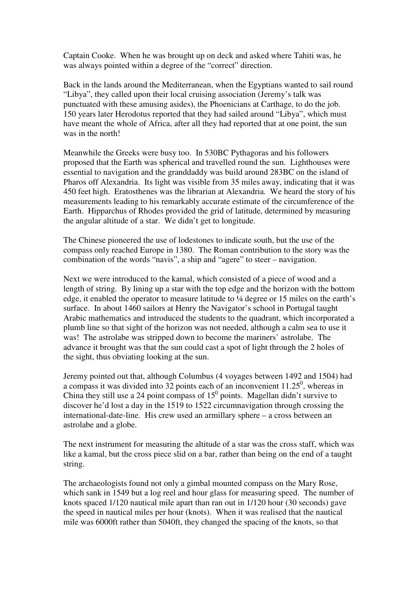Captain Cooke. When he was brought up on deck and asked where Tahiti was, he was always pointed within a degree of the "correct" direction.

Back in the lands around the Mediterranean, when the Egyptians wanted to sail round "Libya", they called upon their local cruising association (Jeremy's talk was punctuated with these amusing asides), the Phoenicians at Carthage, to do the job. 150 years later Herodotus reported that they had sailed around "Libya", which must have meant the whole of Africa, after all they had reported that at one point, the sun was in the north!

Meanwhile the Greeks were busy too. In 530BC Pythagoras and his followers proposed that the Earth was spherical and travelled round the sun. Lighthouses were essential to navigation and the granddaddy was build around 283BC on the island of Pharos off Alexandria. Its light was visible from 35 miles away, indicating that it was 450 feet high. Eratosthenes was the librarian at Alexandria. We heard the story of his measurements leading to his remarkably accurate estimate of the circumference of the Earth. Hipparchus of Rhodes provided the grid of latitude, determined by measuring the angular altitude of a star. We didn't get to longitude.

The Chinese pioneered the use of lodestones to indicate south, but the use of the compass only reached Europe in 1380. The Roman contribution to the story was the combination of the words "navis", a ship and "agere" to steer – navigation.

Next we were introduced to the kamal, which consisted of a piece of wood and a length of string. By lining up a star with the top edge and the horizon with the bottom edge, it enabled the operator to measure latitude to ¼ degree or 15 miles on the earth's surface. In about 1460 sailors at Henry the Navigator's school in Portugal taught Arabic mathematics and introduced the students to the quadrant, which incorporated a plumb line so that sight of the horizon was not needed, although a calm sea to use it was! The astrolabe was stripped down to become the mariners' astrolabe. The advance it brought was that the sun could cast a spot of light through the 2 holes of the sight, thus obviating looking at the sun.

Jeremy pointed out that, although Columbus (4 voyages between 1492 and 1504) had a compass it was divided into  $32$  points each of an inconvenient  $11.25^{\circ}$ , whereas in China they still use a 24 point compass of  $15^0$  points. Magellan didn't survive to discover he'd lost a day in the 1519 to 1522 circumnavigation through crossing the international-date-line. His crew used an armillary sphere – a cross between an astrolabe and a globe.

The next instrument for measuring the altitude of a star was the cross staff, which was like a kamal, but the cross piece slid on a bar, rather than being on the end of a taught string.

The archaeologists found not only a gimbal mounted compass on the Mary Rose, which sank in 1549 but a log reel and hour glass for measuring speed. The number of knots spaced 1/120 nautical mile apart than ran out in 1/120 hour (30 seconds) gave the speed in nautical miles per hour (knots). When it was realised that the nautical mile was 6000ft rather than 5040ft, they changed the spacing of the knots, so that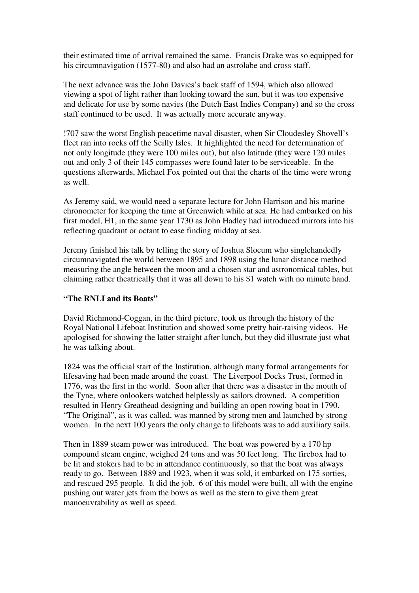their estimated time of arrival remained the same. Francis Drake was so equipped for his circumnavigation (1577-80) and also had an astrolabe and cross staff.

The next advance was the John Davies's back staff of 1594, which also allowed viewing a spot of light rather than looking toward the sun, but it was too expensive and delicate for use by some navies (the Dutch East Indies Company) and so the cross staff continued to be used. It was actually more accurate anyway.

!707 saw the worst English peacetime naval disaster, when Sir Cloudesley Shovell's fleet ran into rocks off the Scilly Isles. It highlighted the need for determination of not only longitude (they were 100 miles out), but also latitude (they were 120 miles out and only 3 of their 145 compasses were found later to be serviceable. In the questions afterwards, Michael Fox pointed out that the charts of the time were wrong as well.

As Jeremy said, we would need a separate lecture for John Harrison and his marine chronometer for keeping the time at Greenwich while at sea. He had embarked on his first model, H1, in the same year 1730 as John Hadley had introduced mirrors into his reflecting quadrant or octant to ease finding midday at sea.

Jeremy finished his talk by telling the story of Joshua Slocum who singlehandedly circumnavigated the world between 1895 and 1898 using the lunar distance method measuring the angle between the moon and a chosen star and astronomical tables, but claiming rather theatrically that it was all down to his \$1 watch with no minute hand.

#### **"The RNLI and its Boats"**

David Richmond-Coggan, in the third picture, took us through the history of the Royal National Lifeboat Institution and showed some pretty hair-raising videos. He apologised for showing the latter straight after lunch, but they did illustrate just what he was talking about.

1824 was the official start of the Institution, although many formal arrangements for lifesaving had been made around the coast. The Liverpool Docks Trust, formed in 1776, was the first in the world. Soon after that there was a disaster in the mouth of the Tyne, where onlookers watched helplessly as sailors drowned. A competition resulted in Henry Greathead designing and building an open rowing boat in 1790. "The Original", as it was called, was manned by strong men and launched by strong women. In the next 100 years the only change to lifeboats was to add auxiliary sails.

Then in 1889 steam power was introduced. The boat was powered by a 170 hp compound steam engine, weighed 24 tons and was 50 feet long. The firebox had to be lit and stokers had to be in attendance continuously, so that the boat was always ready to go. Between 1889 and 1923, when it was sold, it embarked on 175 sorties, and rescued 295 people. It did the job. 6 of this model were built, all with the engine pushing out water jets from the bows as well as the stern to give them great manoeuvrability as well as speed.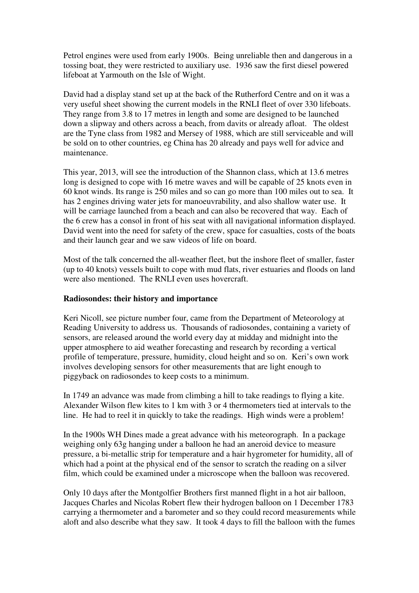Petrol engines were used from early 1900s. Being unreliable then and dangerous in a tossing boat, they were restricted to auxiliary use. 1936 saw the first diesel powered lifeboat at Yarmouth on the Isle of Wight.

David had a display stand set up at the back of the Rutherford Centre and on it was a very useful sheet showing the current models in the RNLI fleet of over 330 lifeboats. They range from 3.8 to 17 metres in length and some are designed to be launched down a slipway and others across a beach, from davits or already afloat. The oldest are the Tyne class from 1982 and Mersey of 1988, which are still serviceable and will be sold on to other countries, eg China has 20 already and pays well for advice and maintenance.

This year, 2013, will see the introduction of the Shannon class, which at 13.6 metres long is designed to cope with 16 metre waves and will be capable of 25 knots even in 60 knot winds. Its range is 250 miles and so can go more than 100 miles out to sea. It has 2 engines driving water jets for manoeuvrability, and also shallow water use. It will be carriage launched from a beach and can also be recovered that way. Each of the 6 crew has a consol in front of his seat with all navigational information displayed. David went into the need for safety of the crew, space for casualties, costs of the boats and their launch gear and we saw videos of life on board.

Most of the talk concerned the all-weather fleet, but the inshore fleet of smaller, faster (up to 40 knots) vessels built to cope with mud flats, river estuaries and floods on land were also mentioned. The RNLI even uses hovercraft.

### **Radiosondes: their history and importance**

Keri Nicoll, see picture number four, came from the Department of Meteorology at Reading University to address us. Thousands of radiosondes, containing a variety of sensors, are released around the world every day at midday and midnight into the upper atmosphere to aid weather forecasting and research by recording a vertical profile of temperature, pressure, humidity, cloud height and so on. Keri's own work involves developing sensors for other measurements that are light enough to piggyback on radiosondes to keep costs to a minimum.

In 1749 an advance was made from climbing a hill to take readings to flying a kite. Alexander Wilson flew kites to 1 km with 3 or 4 thermometers tied at intervals to the line. He had to reel it in quickly to take the readings. High winds were a problem!

In the 1900s WH Dines made a great advance with his meteorograph. In a package weighing only 63g hanging under a balloon he had an aneroid device to measure pressure, a bi-metallic strip for temperature and a hair hygrometer for humidity, all of which had a point at the physical end of the sensor to scratch the reading on a silver film, which could be examined under a microscope when the balloon was recovered.

Only 10 days after the Montgolfier Brothers first manned flight in a hot air balloon, Jacques Charles and Nicolas Robert flew their hydrogen balloon on 1 December 1783 carrying a thermometer and a barometer and so they could record measurements while aloft and also describe what they saw. It took 4 days to fill the balloon with the fumes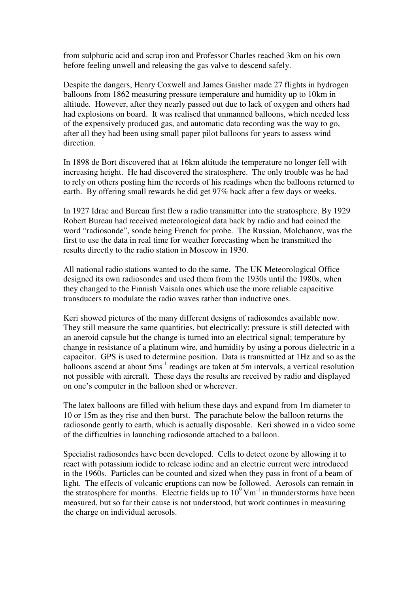from sulphuric acid and scrap iron and Professor Charles reached 3km on his own before feeling unwell and releasing the gas valve to descend safely.

Despite the dangers, Henry Coxwell and James Gaisher made 27 flights in hydrogen balloons from 1862 measuring pressure temperature and humidity up to 10km in altitude. However, after they nearly passed out due to lack of oxygen and others had had explosions on board. It was realised that unmanned balloons, which needed less of the expensively produced gas, and automatic data recording was the way to go, after all they had been using small paper pilot balloons for years to assess wind direction.

In 1898 de Bort discovered that at 16km altitude the temperature no longer fell with increasing height. He had discovered the stratosphere. The only trouble was he had to rely on others posting him the records of his readings when the balloons returned to earth. By offering small rewards he did get 97% back after a few days or weeks.

In 1927 Idrac and Bureau first flew a radio transmitter into the stratosphere. By 1929 Robert Bureau had received meteorological data back by radio and had coined the word "radiosonde", sonde being French for probe. The Russian, Molchanov, was the first to use the data in real time for weather forecasting when he transmitted the results directly to the radio station in Moscow in 1930.

All national radio stations wanted to do the same. The UK Meteorological Office designed its own radiosondes and used them from the 1930s until the 1980s, when they changed to the Finnish Vaisala ones which use the more reliable capacitive transducers to modulate the radio waves rather than inductive ones.

Keri showed pictures of the many different designs of radiosondes available now. They still measure the same quantities, but electrically: pressure is still detected with an aneroid capsule but the change is turned into an electrical signal; temperature by change in resistance of a platinum wire, and humidity by using a porous dielectric in a capacitor. GPS is used to determine position. Data is transmitted at 1Hz and so as the balloons ascend at about  $5\text{ms}^{-1}$  readings are taken at  $5\text{m}$  intervals, a vertical resolution not possible with aircraft. These days the results are received by radio and displayed on one's computer in the balloon shed or wherever.

The latex balloons are filled with helium these days and expand from 1m diameter to 10 or 15m as they rise and then burst. The parachute below the balloon returns the radiosonde gently to earth, which is actually disposable. Keri showed in a video some of the difficulties in launching radiosonde attached to a balloon.

Specialist radiosondes have been developed. Cells to detect ozone by allowing it to react with potassium iodide to release iodine and an electric current were introduced in the 1960s. Particles can be counted and sized when they pass in front of a beam of light. The effects of volcanic eruptions can now be followed. Aerosols can remain in the stratosphere for months. Electric fields up to  $10^9$  Vm<sup>-1</sup> in thunderstorms have been measured, but so far their cause is not understood, but work continues in measuring the charge on individual aerosols.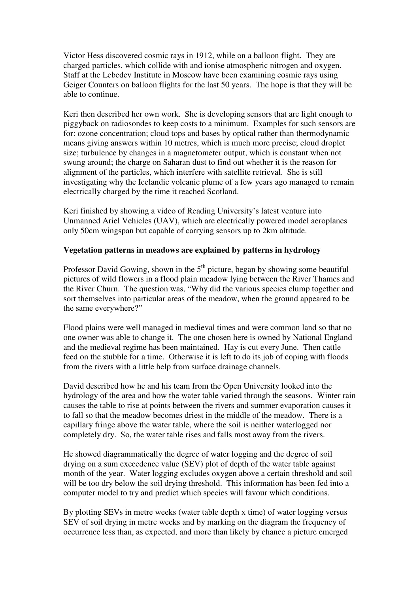Victor Hess discovered cosmic rays in 1912, while on a balloon flight. They are charged particles, which collide with and ionise atmospheric nitrogen and oxygen. Staff at the Lebedev Institute in Moscow have been examining cosmic rays using Geiger Counters on balloon flights for the last 50 years. The hope is that they will be able to continue.

Keri then described her own work. She is developing sensors that are light enough to piggyback on radiosondes to keep costs to a minimum. Examples for such sensors are for: ozone concentration; cloud tops and bases by optical rather than thermodynamic means giving answers within 10 metres, which is much more precise; cloud droplet size; turbulence by changes in a magnetometer output, which is constant when not swung around; the charge on Saharan dust to find out whether it is the reason for alignment of the particles, which interfere with satellite retrieval. She is still investigating why the Icelandic volcanic plume of a few years ago managed to remain electrically charged by the time it reached Scotland.

Keri finished by showing a video of Reading University's latest venture into Unmanned Ariel Vehicles (UAV), which are electrically powered model aeroplanes only 50cm wingspan but capable of carrying sensors up to 2km altitude.

## **Vegetation patterns in meadows are explained by patterns in hydrology**

Professor David Gowing, shown in the  $5<sup>th</sup>$  picture, began by showing some beautiful pictures of wild flowers in a flood plain meadow lying between the River Thames and the River Churn. The question was, "Why did the various species clump together and sort themselves into particular areas of the meadow, when the ground appeared to be the same everywhere?"

Flood plains were well managed in medieval times and were common land so that no one owner was able to change it. The one chosen here is owned by National England and the medieval regime has been maintained. Hay is cut every June. Then cattle feed on the stubble for a time. Otherwise it is left to do its job of coping with floods from the rivers with a little help from surface drainage channels.

David described how he and his team from the Open University looked into the hydrology of the area and how the water table varied through the seasons. Winter rain causes the table to rise at points between the rivers and summer evaporation causes it to fall so that the meadow becomes driest in the middle of the meadow. There is a capillary fringe above the water table, where the soil is neither waterlogged nor completely dry. So, the water table rises and falls most away from the rivers.

He showed diagrammatically the degree of water logging and the degree of soil drying on a sum exceedence value (SEV) plot of depth of the water table against month of the year. Water logging excludes oxygen above a certain threshold and soil will be too dry below the soil drying threshold. This information has been fed into a computer model to try and predict which species will favour which conditions.

By plotting SEVs in metre weeks (water table depth x time) of water logging versus SEV of soil drying in metre weeks and by marking on the diagram the frequency of occurrence less than, as expected, and more than likely by chance a picture emerged